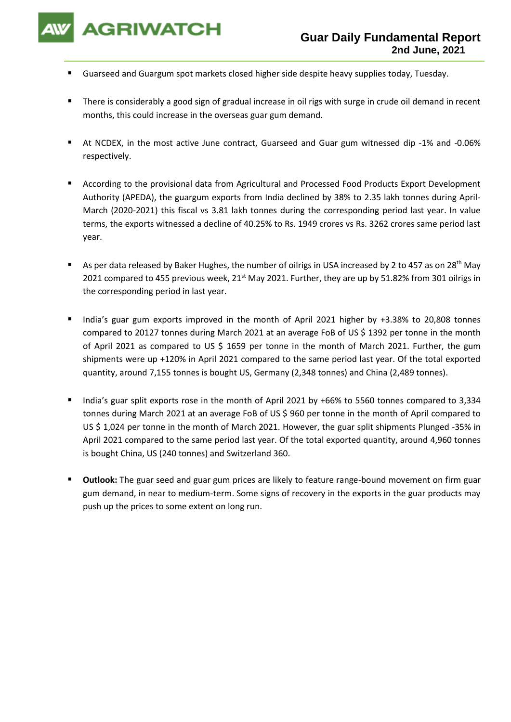

- Guarseed and Guargum spot markets closed higher side despite heavy supplies today, Tuesday.
- There is considerably a good sign of gradual increase in oil rigs with surge in crude oil demand in recent months, this could increase in the overseas guar gum demand.
- At NCDEX, in the most active June contract, Guarseed and Guar gum witnessed dip -1% and -0.06% respectively.
- According to the provisional data from Agricultural and Processed Food Products Export Development Authority (APEDA), the guargum exports from India declined by 38% to 2.35 lakh tonnes during April-March (2020-2021) this fiscal vs 3.81 lakh tonnes during the corresponding period last year. In value terms, the exports witnessed a decline of 40.25% to Rs. 1949 crores vs Rs. 3262 crores same period last year.
- As per data released by Baker Hughes, the number of oilrigs in USA increased by 2 to 457 as on 28<sup>th</sup> May 2021 compared to 455 previous week, 21<sup>st</sup> May 2021. Further, they are up by 51.82% from 301 oilrigs in the corresponding period in last year.
- India's guar gum exports improved in the month of April 2021 higher by +3.38% to 20,808 tonnes compared to 20127 tonnes during March 2021 at an average FoB of US \$ 1392 per tonne in the month of April 2021 as compared to US \$ 1659 per tonne in the month of March 2021. Further, the gum shipments were up +120% in April 2021 compared to the same period last year. Of the total exported quantity, around 7,155 tonnes is bought US, Germany (2,348 tonnes) and China (2,489 tonnes).
- India's guar split exports rose in the month of April 2021 by +66% to 5560 tonnes compared to 3,334 tonnes during March 2021 at an average FoB of US \$ 960 per tonne in the month of April compared to US \$ 1,024 per tonne in the month of March 2021. However, the guar split shipments Plunged -35% in April 2021 compared to the same period last year. Of the total exported quantity, around 4,960 tonnes is bought China, US (240 tonnes) and Switzerland 360.
- **Outlook:** The guar seed and guar gum prices are likely to feature range-bound movement on firm guar gum demand, in near to medium-term. Some signs of recovery in the exports in the guar products may push up the prices to some extent on long run.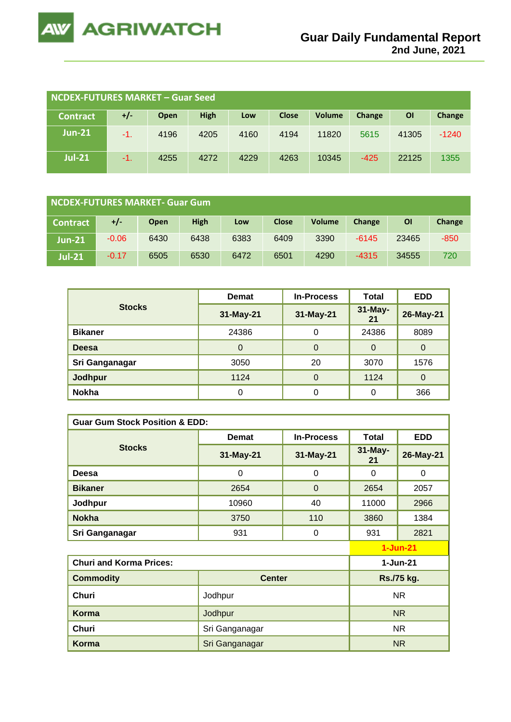

| <b>NCDEX-FUTURES MARKET - Guar Seed</b> |     |      |             |      |              |               |        |       |         |
|-----------------------------------------|-----|------|-------------|------|--------------|---------------|--------|-------|---------|
| <b>Contract</b>                         | +/- | Open | <b>High</b> | Low  | <b>Close</b> | <b>Volume</b> | Change | ΟI    | Change  |
| $Jun-21$                                | -1. | 4196 | 4205        | 4160 | 4194         | 11820         | 5615   | 41305 | $-1240$ |
| <b>Jul-21</b>                           | -1. | 4255 | 4272        | 4229 | 4263         | 10345         | $-425$ | 22125 | 1355    |

| NCDEX-FUTURES MARKET- Guar Gum |         |      |      |      |              |               |         |       |        |
|--------------------------------|---------|------|------|------|--------------|---------------|---------|-------|--------|
| <b>Contract</b>                | $+/-$   | Open | High | Low  | <b>Close</b> | <b>Volume</b> | Change  | ΟI    | Change |
| $Jun-21$                       | $-0.06$ | 6430 | 6438 | 6383 | 6409         | 3390          | $-6145$ | 23465 | $-850$ |
| <b>Jul-21</b>                  | $-0.17$ | 6505 | 6530 | 6472 | 6501         | 4290          | $-4315$ | 34555 | 720    |

|                | <b>Demat</b> | <b>In-Process</b> | Total         | <b>EDD</b> |
|----------------|--------------|-------------------|---------------|------------|
| <b>Stocks</b>  | 31-May-21    | 31-May-21         | 31-May-<br>21 | 26-May-21  |
| <b>Bikaner</b> | 24386        | 0                 | 24386         | 8089       |
| <b>Deesa</b>   | 0            | 0                 | 0             | $\Omega$   |
| Sri Ganganagar | 3050         | 20                | 3070          | 1576       |
| <b>Jodhpur</b> | 1124         | $\overline{0}$    | 1124          | 0          |
| <b>Nokha</b>   | 0            | 0                 | 0             | 366        |

| <b>Guar Gum Stock Position &amp; EDD:</b> |                |                   |               |            |  |  |
|-------------------------------------------|----------------|-------------------|---------------|------------|--|--|
|                                           | <b>Demat</b>   | <b>In-Process</b> | <b>Total</b>  | <b>EDD</b> |  |  |
| <b>Stocks</b>                             | 31-May-21      | 31-May-21         | 31-May-<br>21 | 26-May-21  |  |  |
| Deesa                                     | 0              | 0                 | $\Omega$      | 0          |  |  |
| <b>Bikaner</b>                            | 2654           | $\Omega$          | 2654          | 2057       |  |  |
| Jodhpur                                   | 10960          | 40                | 11000         | 2966       |  |  |
| <b>Nokha</b>                              | 3750           | 110               | 3860          | 1384       |  |  |
| Sri Ganganagar                            | 931            | 0                 | 931           | 2821       |  |  |
|                                           |                |                   |               | $1-Jun-21$ |  |  |
| <b>Churi and Korma Prices:</b>            |                |                   | $1-Jun-21$    |            |  |  |
| <b>Commodity</b>                          | <b>Center</b>  |                   | Rs./75 kg.    |            |  |  |
| <b>Churi</b>                              | Jodhpur        |                   |               | <b>NR</b>  |  |  |
| Korma                                     | Jodhpur        |                   |               | NR.        |  |  |
| Churi                                     | Sri Ganganagar |                   |               | NR.        |  |  |
| <b>Korma</b>                              | Sri Ganganagar |                   |               | NR         |  |  |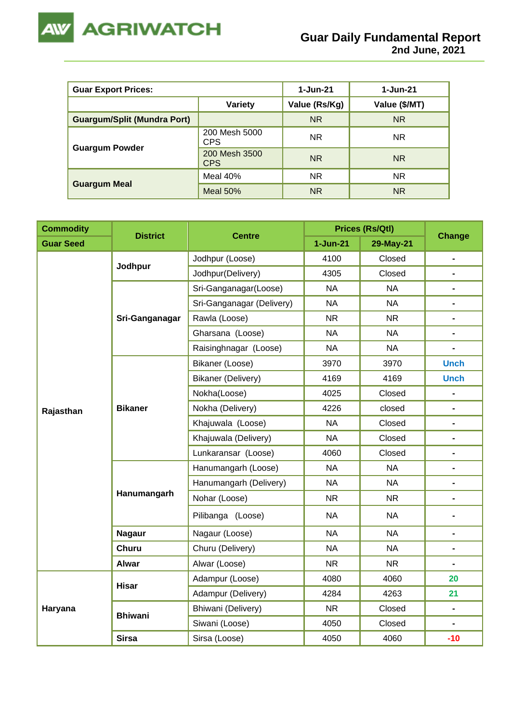

| <b>Guar Export Prices:</b>         | 1-Jun-21                    | $1 - Jun-21$  |               |
|------------------------------------|-----------------------------|---------------|---------------|
|                                    | Variety                     | Value (Rs/Kg) | Value (\$/MT) |
| <b>Guargum/Split (Mundra Port)</b> |                             | <b>NR</b>     | NR.           |
|                                    | 200 Mesh 5000<br><b>CPS</b> | <b>NR</b>     | NR.           |
| <b>Guargum Powder</b>              | 200 Mesh 3500<br><b>CPS</b> | <b>NR</b>     | NR.           |
|                                    | Meal 40%                    | <b>NR</b>     | NR.           |
| <b>Guargum Meal</b>                | <b>Meal 50%</b>             | <b>NR</b>     | NR.           |

| <b>Commodity</b> |                 |                           |                     | <b>Prices (Rs/Qtl)</b> |                                                                                                            |
|------------------|-----------------|---------------------------|---------------------|------------------------|------------------------------------------------------------------------------------------------------------|
| <b>Guar Seed</b> | <b>District</b> | <b>Centre</b>             | $1-Jun-21$          | 29-May-21              |                                                                                                            |
|                  |                 | Jodhpur (Loose)           | 4100                | Closed                 |                                                                                                            |
|                  | Jodhpur         | Jodhpur(Delivery)         | 4305                | Closed                 |                                                                                                            |
|                  |                 | Sri-Ganganagar(Loose)     | <b>NA</b>           | <b>NA</b>              |                                                                                                            |
|                  |                 | Sri-Ganganagar (Delivery) | <b>NA</b>           | <b>NA</b>              |                                                                                                            |
|                  | Sri-Ganganagar  | Rawla (Loose)             | <b>NR</b>           | <b>NR</b>              | $\blacksquare$                                                                                             |
|                  |                 | Gharsana (Loose)          | <b>NA</b>           | <b>NA</b>              |                                                                                                            |
|                  |                 | Raisinghnagar (Loose)     | <b>NA</b>           | <b>NA</b>              |                                                                                                            |
|                  |                 | Bikaner (Loose)           | 3970                | 3970                   | <b>Unch</b>                                                                                                |
|                  |                 | Bikaner (Delivery)        | 4169                | 4169                   | <b>Unch</b>                                                                                                |
|                  |                 | Nokha(Loose)              | 4025                | Closed                 |                                                                                                            |
| Rajasthan        | <b>Bikaner</b>  | Nokha (Delivery)          | 4226                | closed                 |                                                                                                            |
|                  |                 | Khajuwala (Loose)         | <b>NA</b>           | Closed                 | $\blacksquare$                                                                                             |
|                  |                 | Khajuwala (Delivery)      | <b>NA</b><br>Closed | $\blacksquare$         |                                                                                                            |
|                  |                 | Lunkaransar (Loose)       | 4060                | Closed                 | <b>Change</b><br>$\blacksquare$<br>$\blacksquare$<br>$\blacksquare$<br>20<br>21<br>$\blacksquare$<br>$-10$ |
|                  | Hanumangarh     | Hanumangarh (Loose)       | <b>NA</b>           | <b>NA</b>              |                                                                                                            |
|                  |                 | Hanumangarh (Delivery)    | <b>NA</b>           | <b>NA</b>              |                                                                                                            |
|                  |                 | Nohar (Loose)             | <b>NR</b>           | <b>NR</b>              |                                                                                                            |
|                  |                 | Pilibanga (Loose)         | <b>NA</b>           | <b>NA</b>              |                                                                                                            |
|                  | <b>Nagaur</b>   | Nagaur (Loose)            | <b>NA</b>           | <b>NA</b>              |                                                                                                            |
|                  | <b>Churu</b>    | Churu (Delivery)          | <b>NA</b>           | <b>NA</b>              |                                                                                                            |
|                  | <b>Alwar</b>    | Alwar (Loose)             | <b>NR</b>           | <b>NR</b>              |                                                                                                            |
|                  | <b>Hisar</b>    | Adampur (Loose)           | 4080                | 4060                   |                                                                                                            |
|                  |                 | Adampur (Delivery)        | 4284                | 4263                   |                                                                                                            |
| Haryana          | <b>Bhiwani</b>  | Bhiwani (Delivery)        | <b>NR</b>           | Closed                 |                                                                                                            |
|                  |                 | Siwani (Loose)            | 4050                | Closed                 |                                                                                                            |
|                  | <b>Sirsa</b>    | Sirsa (Loose)             | 4050                | 4060                   |                                                                                                            |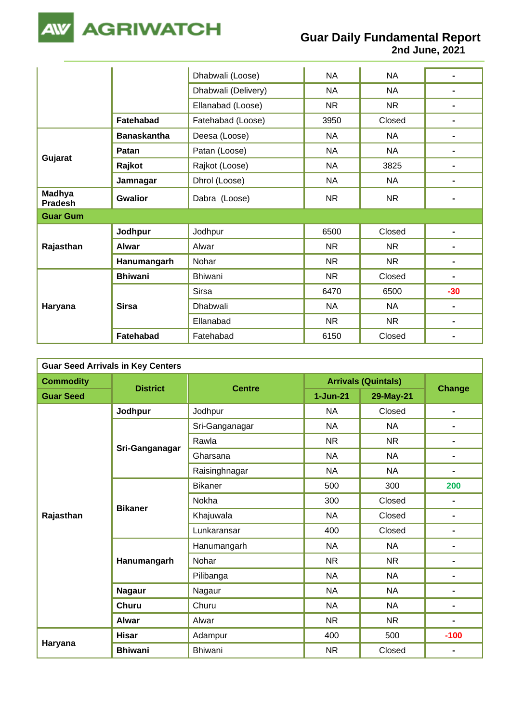

**2nd June, 2021**

|                          |                    | Dhabwali (Loose)    | <b>NA</b> | <b>NA</b> |       |
|--------------------------|--------------------|---------------------|-----------|-----------|-------|
|                          |                    | Dhabwali (Delivery) | <b>NA</b> | <b>NA</b> |       |
|                          |                    | Ellanabad (Loose)   | <b>NR</b> | <b>NR</b> |       |
|                          | <b>Fatehabad</b>   | Fatehabad (Loose)   | 3950      | Closed    |       |
|                          | <b>Banaskantha</b> | Deesa (Loose)       | NA        | <b>NA</b> |       |
| Gujarat                  | Patan              | Patan (Loose)       | <b>NA</b> | <b>NA</b> |       |
|                          | Rajkot             | Rajkot (Loose)      | <b>NA</b> | 3825      |       |
|                          | Jamnagar           | Dhrol (Loose)       | <b>NA</b> | <b>NA</b> |       |
| Madhya<br><b>Pradesh</b> | <b>Gwalior</b>     | Dabra (Loose)       | <b>NR</b> | <b>NR</b> |       |
| <b>Guar Gum</b>          |                    |                     |           |           |       |
|                          | Jodhpur            | Jodhpur             | 6500      | Closed    |       |
| Rajasthan                | Alwar              | Alwar               | <b>NR</b> | <b>NR</b> |       |
|                          | Hanumangarh        | Nohar               | <b>NR</b> | <b>NR</b> |       |
|                          | <b>Bhiwani</b>     | Bhiwani             | <b>NR</b> | Closed    |       |
| Haryana                  |                    | <b>Sirsa</b>        | 6470      | 6500      | $-30$ |
|                          | <b>Sirsa</b>       | Dhabwali            | <b>NA</b> | <b>NA</b> |       |
|                          |                    | Ellanabad           | <b>NR</b> | <b>NR</b> |       |
|                          | Fatehabad          | Fatehabad           | 6150      | Closed    |       |

| <b>Guar Seed Arrivals in Key Centers</b> |                 |                |                            |               |        |  |  |
|------------------------------------------|-----------------|----------------|----------------------------|---------------|--------|--|--|
| <b>Commodity</b>                         | <b>District</b> | <b>Centre</b>  | <b>Arrivals (Quintals)</b> | <b>Change</b> |        |  |  |
| <b>Guar Seed</b>                         |                 |                | $1 - Jun-21$               | 29-May-21     |        |  |  |
|                                          | Jodhpur         | Jodhpur        | <b>NA</b>                  | Closed        | -      |  |  |
|                                          |                 | Sri-Ganganagar | <b>NA</b>                  | <b>NA</b>     | -      |  |  |
|                                          |                 | Rawla          | <b>NR</b>                  | <b>NR</b>     | -      |  |  |
|                                          | Sri-Ganganagar  | Gharsana       | <b>NA</b>                  | <b>NA</b>     | -      |  |  |
|                                          |                 | Raisinghnagar  | <b>NA</b>                  | <b>NA</b>     | -      |  |  |
|                                          | <b>Bikaner</b>  | <b>Bikaner</b> | 500                        | 300           | 200    |  |  |
|                                          |                 | Nokha          | 300                        | Closed        | -      |  |  |
| Rajasthan                                |                 | Khajuwala      | <b>NA</b>                  | Closed        | -      |  |  |
|                                          |                 | Lunkaransar    | 400                        | Closed        | -      |  |  |
|                                          | Hanumangarh     | Hanumangarh    | <b>NA</b>                  | <b>NA</b>     | -      |  |  |
|                                          |                 | Nohar          | <b>NR</b>                  | <b>NR</b>     | -      |  |  |
|                                          |                 | Pilibanga      | <b>NA</b>                  | <b>NA</b>     | -      |  |  |
|                                          | <b>Nagaur</b>   | Nagaur         | <b>NA</b>                  | <b>NA</b>     | -      |  |  |
|                                          | <b>Churu</b>    | Churu          | <b>NA</b>                  | <b>NA</b>     | -      |  |  |
|                                          | <b>Alwar</b>    | Alwar          | <b>NR</b>                  | <b>NR</b>     | -      |  |  |
|                                          | <b>Hisar</b>    | Adampur        | 400                        | 500           | $-100$ |  |  |
| Haryana                                  | <b>Bhiwani</b>  | Bhiwani        | <b>NR</b>                  | Closed        |        |  |  |